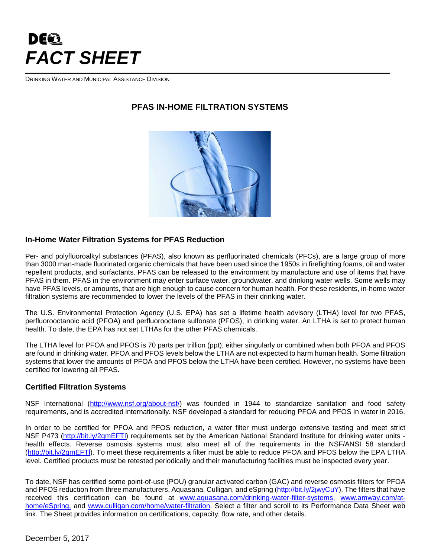# DEET *FACT SHEET*

DRINKING WATER AND MUNICIPAL ASSISTANCE DIVISION

## **PFAS IN-HOME FILTRATION SYSTEMS**



#### **In-Home Water Filtration Systems for PFAS Reduction**

Per- and polyfluoroalkyl substances (PFAS), also known as perfluorinated chemicals (PFCs), are a large group of more than 3000 man-made fluorinated organic chemicals that have been used since the 1950s in firefighting foams, oil and water repellent products, and surfactants. PFAS can be released to the environment by manufacture and use of items that have PFAS in them. PFAS in the environment may enter surface water, groundwater, and drinking water wells. Some wells may have PFAS levels, or amounts, that are high enough to cause concern for human health. For these residents, in-home water filtration systems are recommended to lower the levels of the PFAS in their drinking water.

The U.S. Environmental Protection Agency (U.S. EPA) has set a lifetime health advisory (LTHA) level for two PFAS, perfluorooctanoic acid (PFOA) and perfluorooctane sulfonate (PFOS), in drinking water. An LTHA is set to protect human health. To date, the EPA has not set LTHAs for the other PFAS chemicals.

The LTHA level for PFOA and PFOS is 70 parts per trillion (ppt), either singularly or combined when both PFOA and PFOS are found in drinking water. PFOA and PFOS levels below the LTHA are not expected to harm human health. Some filtration systems that lower the amounts of PFOA and PFOS below the LTHA have been certified. However, no systems have been certified for lowering all PFAS.

#### **Certified Filtration Systems**

NSF International [\(http://www.nsf.org/about-nsf/\)](http://www.nsf.org/about-nsf/) was founded in 1944 to standardize sanitation and food safety requirements, and is accredited internationally. NSF developed a standard for reducing PFOA and PFOS in water in 2016.

In order to be certified for PFOA and PFOS reduction, a water filter must undergo extensive testing and meet strict NSF P473 [\(http://bit.ly/2gmEFTl\)](http://bit.ly/2gmEFTl) requirements set by the American National Standard Institute for drinking water units health effects. Reverse osmosis systems must also meet all of the requirements in the NSF/ANSI 58 standard [\(http://bit.ly/2gmEFTl\)](http://bit.ly/2gmEFTl). To meet these requirements a filter must be able to reduce PFOA and PFOS below the EPA LTHA level. Certified products must be retested periodically and their manufacturing facilities must be inspected every year.

To date, NSF has certified some point-of-use (POU) granular activated carbon (GAC) and reverse osmosis filters for PFOA and PFOS reduction from three manufacturers, Aquasana, Culligan, and eSpring [\(http://bit.ly/2jwyCuY\)](http://bit.ly/2jwyCuY). The filters that have received this certification can be found at [www.aquasana.com/drinking-water-filter-systems,](http://www.aquasana.com/drinking-water-filter-systems) [www.amway.com/at](http://www.amway.com/at-home/eSpring)[home/eSpring,](http://www.amway.com/at-home/eSpring) and [www.culligan.com/home/water-filtration.](http://www.culligan.com/home/water-filtration) Select a filter and scroll to its Performance Data Sheet web link. The Sheet provides information on certifications, capacity, flow rate, and other details.